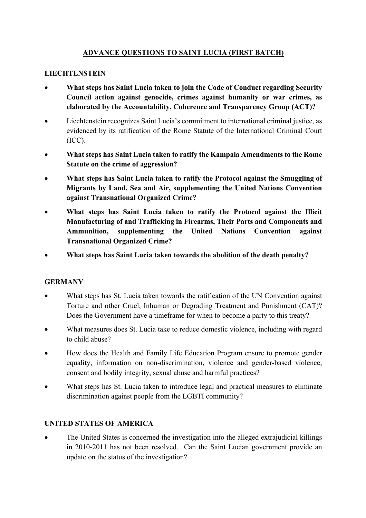## **ADVANCE QUESTIONS TO SAINT LUCIA (FIRST BATCH)**

## **LIECHTENSTEIN**

- **What steps has Saint Lucia taken to join the Code of Conduct regarding Security Council action against genocide, crimes against humanity or war crimes, as elaborated by the Accountability, Coherence and Transparency Group (ACT)?**
- Liechtenstein recognizes Saint Lucia's commitment to international criminal justice, as evidenced by its ratification of the Rome Statute of the International Criminal Court (ICC).
- **What steps has Saint Lucia taken to ratify the Kampala Amendments to the Rome Statute on the crime of aggression?**
- **What steps has Saint Lucia taken to ratify the Protocol against the Smuggling of Migrants by Land, Sea and Air, supplementing the United Nations Convention against Transnational Organized Crime?**
- **What steps has Saint Lucia taken to ratify the Protocol against the Illicit Manufacturing of and Trafficking in Firearms, Their Parts and Components and Ammunition, supplementing the United Nations Convention against Transnational Organized Crime?**
- **What steps has Saint Lucia taken towards the abolition of the death penalty?**

## **GERMANY**

- What steps has St. Lucia taken towards the ratification of the UN Convention against Torture and other Cruel, Inhuman or Degrading Treatment and Punishment (CAT)? Does the Government have a timeframe for when to become a party to this treaty?
- What measures does St. Lucia take to reduce domestic violence, including with regard to child abuse?
- How does the Health and Family Life Education Program ensure to promote gender equality, information on non-discrimination, violence and gender-based violence, consent and bodily integrity, sexual abuse and harmful practices?
- What steps has St. Lucia taken to introduce legal and practical measures to eliminate discrimination against people from the LGBTI community?

## **UNITED STATES OF AMERICA**

The United States is concerned the investigation into the alleged extrajudicial killings in 2010-2011 has not been resolved. Can the Saint Lucian government provide an update on the status of the investigation?